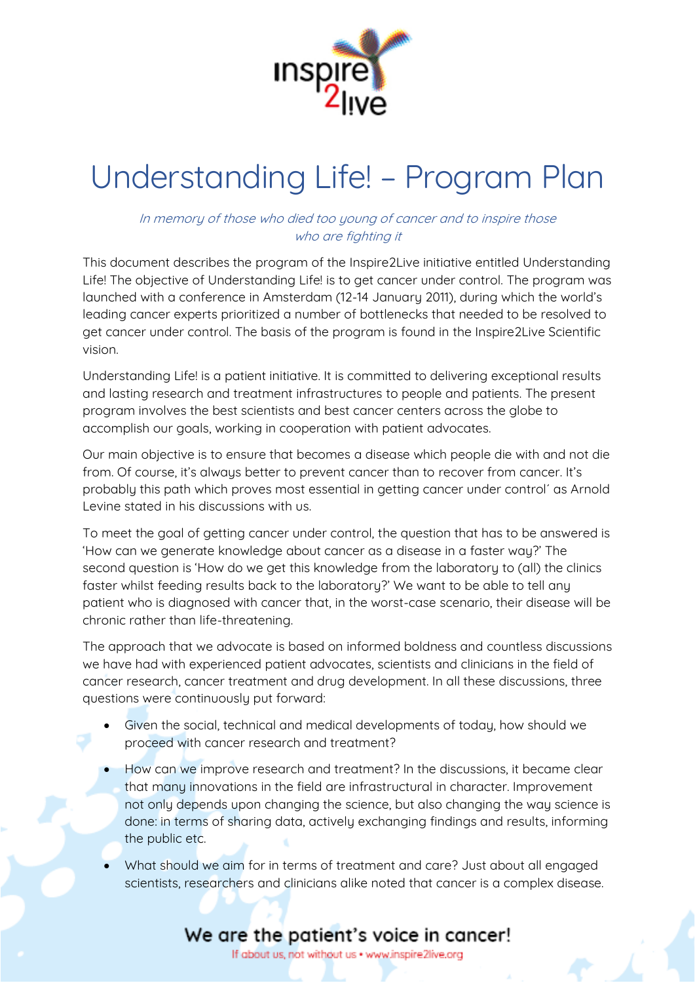

# Understanding Life! – Program Plan

#### In memory of those who died too young of cancer and to inspire those who are fighting it

This document describes the program of the Inspire2Live initiative entitled Understanding Life! The objective of Understanding Life! is to get cancer under control. The program was launched with a conference in Amsterdam (12-14 January 2011), during which the world's leading cancer experts prioritized a number of bottlenecks that needed to be resolved to get cancer under control. The basis of the program is found in the Inspire2Live Scientific vision.

Understanding Life! is a patient initiative. It is committed to delivering exceptional results and lasting research and treatment infrastructures to people and patients. The present program involves the best scientists and best cancer centers across the globe to accomplish our goals, working in cooperation with patient advocates.

Our main objective is to ensure that becomes a disease which people die with and not die from. Of course, it's always better to prevent cancer than to recover from cancer. It's probably this path which proves most essential in getting cancer under control' as Arnold Levine stated in his discussions with us.

To meet the goal of getting cancer under control, the question that has to be answered is 'How can we generate knowledge about cancer as a disease in a faster way?' The second question is 'How do we get this knowledge from the laboratory to (all) the clinics faster whilst feeding results back to the laboratory?' We want to be able to tell any patient who is diagnosed with cancer that, in the worst-case scenario, their disease will be chronic rather than life-threatening.

The approach that we advocate is based on informed boldness and countless discussions we have had with experienced patient advocates, scientists and clinicians in the field of cancer research, cancer treatment and drug development. In all these discussions, three questions were continuously put forward:

- Given the social, technical and medical developments of today, how should we proceed with cancer research and treatment?
- How can we improve research and treatment? In the discussions, it became clear that many innovations in the field are infrastructural in character. Improvement not only depends upon changing the science, but also changing the way science is done: in terms of sharing data, actively exchanging findings and results, informing the public etc.
- What should we aim for in terms of treatment and care? Just about all engaged scientists, researchers and clinicians alike noted that cancer is a complex disease.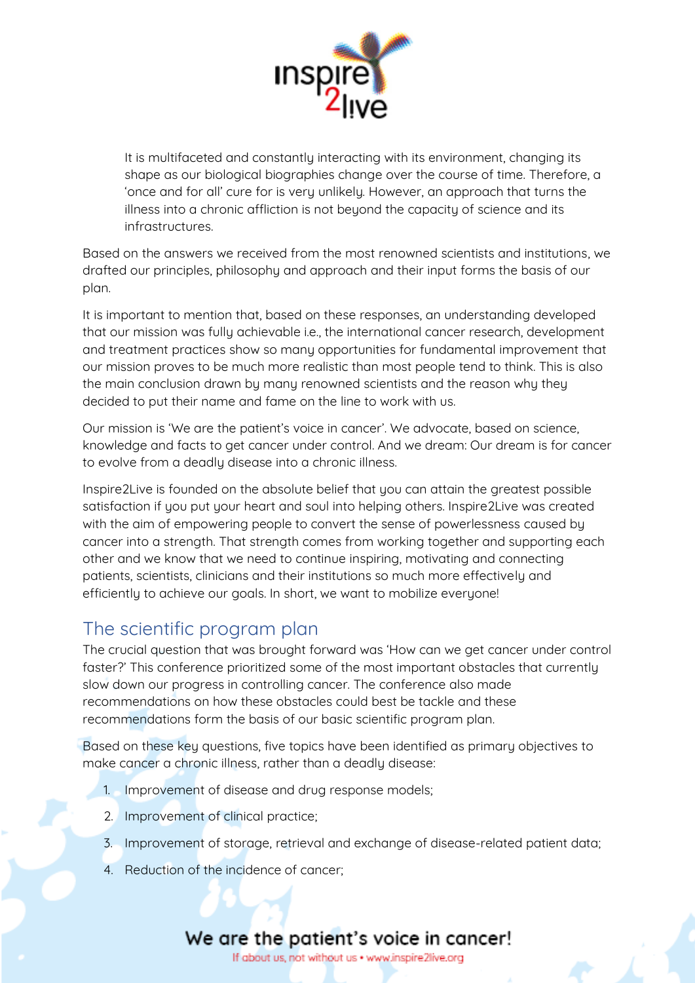

It is multifaceted and constantly interacting with its environment, changing its shape as our biological biographies change over the course of time. Therefore, a 'once and for all' cure for is very unlikely. However, an approach that turns the illness into a chronic affliction is not beyond the capacity of science and its infrastructures.

Based on the answers we received from the most renowned scientists and institutions, we drafted our principles, philosophy and approach and their input forms the basis of our plan.

It is important to mention that, based on these responses, an understanding developed that our mission was fully achievable i.e., the international cancer research, development and treatment practices show so many opportunities for fundamental improvement that our mission proves to be much more realistic than most people tend to think. This is also the main conclusion drawn by many renowned scientists and the reason why they decided to put their name and fame on the line to work with us.

Our mission is 'We are the patient's voice in cancer'. We advocate, based on science, knowledge and facts to get cancer under control. And we dream: Our dream is for cancer to evolve from a deadly disease into a chronic illness.

Inspire2Live is founded on the absolute belief that you can attain the greatest possible satisfaction if you put your heart and soul into helping others. Inspire2Live was created with the aim of empowering people to convert the sense of powerlessness caused by cancer into a strength. That strength comes from working together and supporting each other and we know that we need to continue inspiring, motivating and connecting patients, scientists, clinicians and their institutions so much more effectively and efficiently to achieve our goals. In short, we want to mobilize everyone!

## The scientific program plan

The crucial question that was brought forward was 'How can we get cancer under control faster?' This conference prioritized some of the most important obstacles that currently slow down our progress in controlling cancer. The conference also made recommendations on how these obstacles could best be tackle and these recommendations form the basis of our basic scientific program plan.

Based on these key questions, five topics have been identified as primary objectives to make cancer a chronic illness, rather than a deadly disease:

- 1. Improvement of disease and drug response models;
- 2. Improvement of clinical practice;
- 3. Improvement of storage, retrieval and exchange of disease-related patient data;
- 4. Reduction of the incidence of cancer;

# We are the patient's voice in cancer!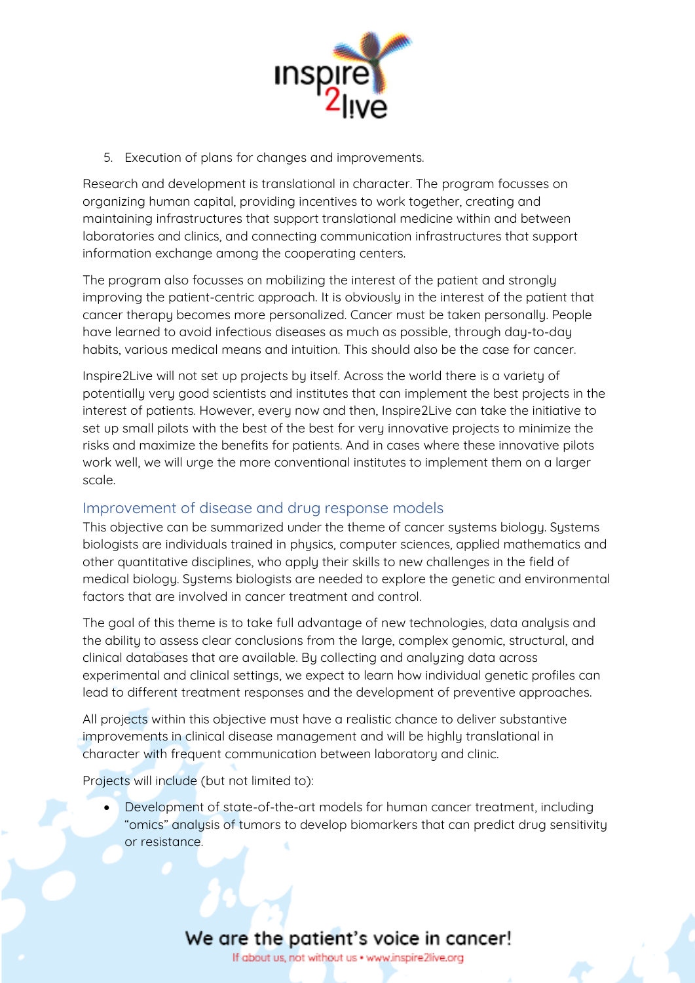

5. Execution of plans for changes and improvements.

Research and development is translational in character. The program focusses on organizing human capital, providing incentives to work together, creating and maintaining infrastructures that support translational medicine within and between laboratories and clinics, and connecting communication infrastructures that support information exchange among the cooperating centers.

The program also focusses on mobilizing the interest of the patient and strongly improving the patient-centric approach. It is obviously in the interest of the patient that cancer therapy becomes more personalized. Cancer must be taken personally. People have learned to avoid infectious diseases as much as possible, through day-to-day habits, various medical means and intuition. This should also be the case for cancer.

Inspire2Live will not set up projects by itself. Across the world there is a variety of potentially very good scientists and institutes that can implement the best projects in the interest of patients. However, every now and then, Inspire2Live can take the initiative to set up small pilots with the best of the best for very innovative projects to minimize the risks and maximize the benefits for patients. And in cases where these innovative pilots work well, we will urge the more conventional institutes to implement them on a larger scale.

### Improvement of disease and drug response models

This objective can be summarized under the theme of cancer systems biology. Systems biologists are individuals trained in physics, computer sciences, applied mathematics and other quantitative disciplines, who apply their skills to new challenges in the field of medical biology. Systems biologists are needed to explore the genetic and environmental factors that are involved in cancer treatment and control.

The goal of this theme is to take full advantage of new technologies, data analysis and the ability to assess clear conclusions from the large, complex genomic, structural, and clinical databases that are available. By collecting and analyzing data across experimental and clinical settings, we expect to learn how individual genetic profiles can lead to different treatment responses and the development of preventive approaches.

All projects within this objective must have a realistic chance to deliver substantive improvements in clinical disease management and will be highly translational in character with frequent communication between laboratory and clinic.

Projects will include (but not limited to):

• Development of state-of-the-art models for human cancer treatment, including "omics" analysis of tumors to develop biomarkers that can predict drug sensitivity or resistance.

### We are the patient's voice in cancer!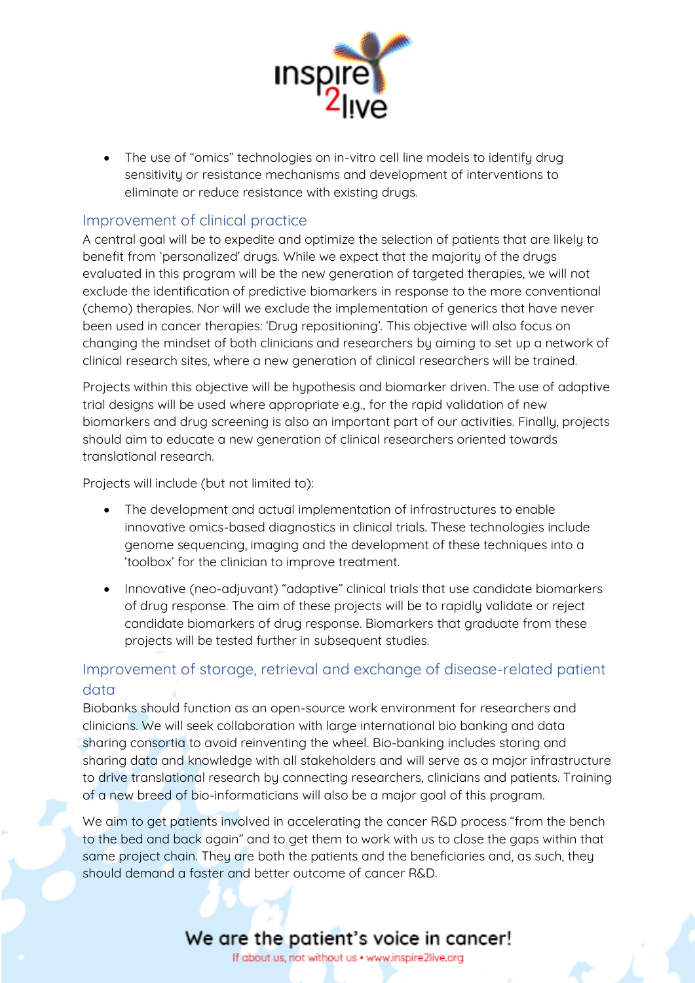

• The use of "omics" technologies on in-vitro cell line models to identify drug sensitivity or resistance mechanisms and development of interventions to eliminate or reduce resistance with existing drugs.

### Improvement of clinical practice

A central goal will be to expedite and optimize the selection of patients that are likely to benefit from 'personalized' drugs. While we expect that the majority of the drugs evaluated in this program will be the new generation of targeted therapies, we will not exclude the identification of predictive biomarkers in response to the more conventional (chemo) therapies. Nor will we exclude the implementation of generics that have never been used in cancer therapies: 'Drug repositioning'. This objective will also focus on changing the mindset of both clinicians and researchers by aiming to set up a network of clinical research sites, where a new generation of clinical researchers will be trained.

Projects within this objective will be hypothesis and biomarker driven. The use of adaptive trial designs will be used where appropriate e.g., for the rapid validation of new biomarkers and drug screening is also an important part of our activities. Finally, projects should aim to educate a new generation of clinical researchers oriented towards translational research.

Projects will include (but not limited to):

- The development and actual implementation of infrastructures to enable innovative omics-based diagnostics in clinical trials. These technologies include genome sequencing, imaging and the development of these techniques into a 'toolbox' for the clinician to improve treatment.
- Innovative (neo-adjuvant) "adaptive" clinical trials that use candidate biomarkers of drug response. The aim of these projects will be to rapidly validate or reject candidate biomarkers of drug response. Biomarkers that graduate from these projects will be tested further in subsequent studies.

### Improvement of storage, retrieval and exchange of disease-related patient data

Biobanks should function as an open-source work environment for researchers and clinicians. We will seek collaboration with large international bio banking and data sharing consortia to avoid reinventing the wheel. Bio-banking includes storing and sharing data and knowledge with all stakeholders and will serve as a major infrastructure to drive translational research by connecting researchers, clinicians and patients. Training of a new breed of bio-informaticians will also be a major goal of this program.

We aim to get patients involved in accelerating the cancer R&D process "from the bench to the bed and back again" and to get them to work with us to close the gaps within that same project chain. They are both the patients and the beneficiaries and, as such, they should demand a faster and better outcome of cancer R&D.

## We are the patient's voice in cancer!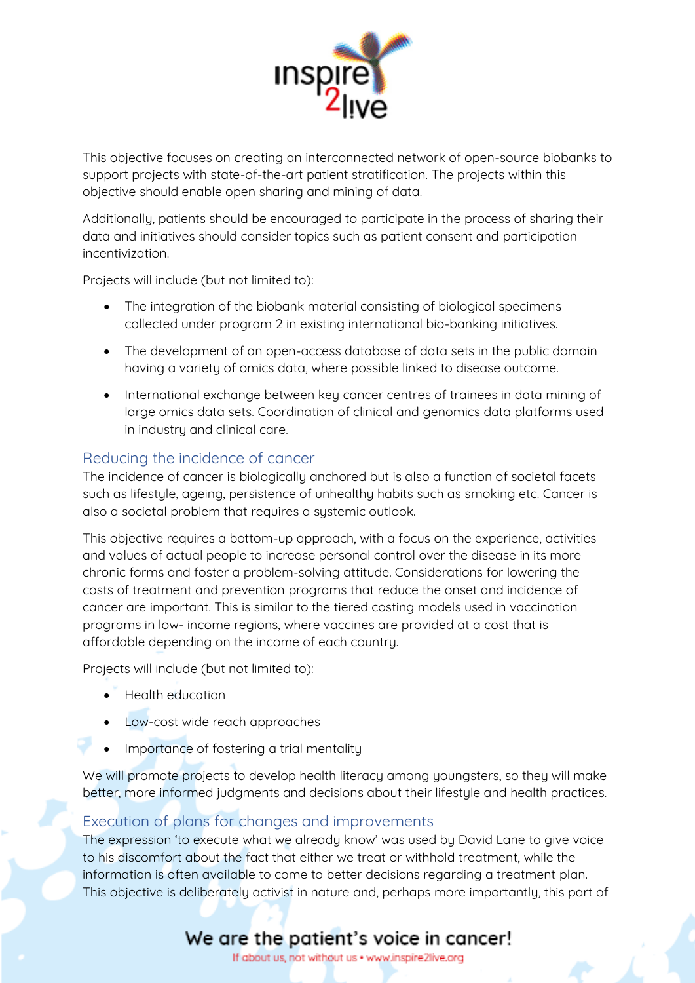

This objective focuses on creating an interconnected network of open-source biobanks to support projects with state-of-the-art patient stratification. The projects within this objective should enable open sharing and mining of data.

Additionally, patients should be encouraged to participate in the process of sharing their data and initiatives should consider topics such as patient consent and participation incentivization.

Projects will include (but not limited to):

- The integration of the biobank material consisting of biological specimens collected under program 2 in existing international bio-banking initiatives.
- The development of an open-access database of data sets in the public domain having a variety of omics data, where possible linked to disease outcome.
- International exchange between key cancer centres of trainees in data mining of large omics data sets. Coordination of clinical and genomics data platforms used in industry and clinical care.

### Reducing the incidence of cancer

The incidence of cancer is biologically anchored but is also a function of societal facets such as lifestyle, ageing, persistence of unhealthy habits such as smoking etc. Cancer is also a societal problem that requires a systemic outlook.

This objective requires a bottom-up approach, with a focus on the experience, activities and values of actual people to increase personal control over the disease in its more chronic forms and foster a problem-solving attitude. Considerations for lowering the costs of treatment and prevention programs that reduce the onset and incidence of cancer are important. This is similar to the tiered costing models used in vaccination programs in low- income regions, where vaccines are provided at a cost that is affordable depending on the income of each country.

Projects will include (but not limited to):

- Health education
- Low-cost wide reach approaches
- Importance of fostering a trial mentality

We will promote projects to develop health literacy among youngsters, so they will make better, more informed judgments and decisions about their lifestyle and health practices.

### Execution of plans for changes and improvements

The expression 'to execute what we already know' was used by David Lane to give voice to his discomfort about the fact that either we treat or withhold treatment, while the information is often available to come to better decisions regarding a treatment plan. This objective is deliberately activist in nature and, perhaps more importantly, this part of

# We are the patient's voice in cancer!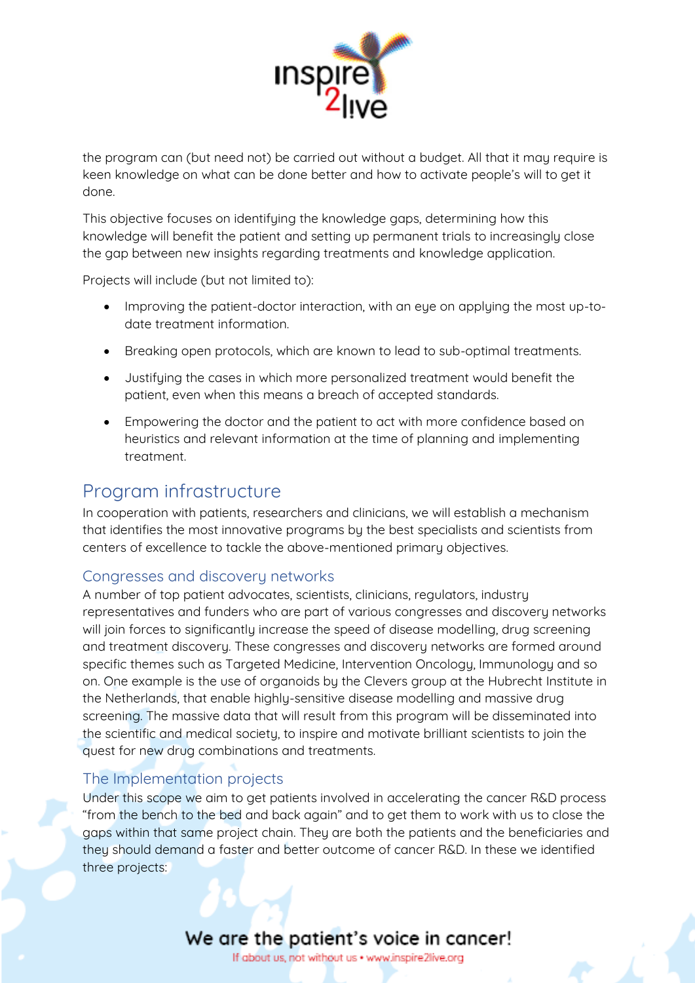

the program can (but need not) be carried out without a budget. All that it may require is keen knowledge on what can be done better and how to activate people's will to get it done.

This objective focuses on identifying the knowledge gaps, determining how this knowledge will benefit the patient and setting up permanent trials to increasingly close the gap between new insights regarding treatments and knowledge application.

Projects will include (but not limited to):

- Improving the patient-doctor interaction, with an eye on applying the most up-todate treatment information.
- Breaking open protocols, which are known to lead to sub-optimal treatments.
- Justifying the cases in which more personalized treatment would benefit the patient, even when this means a breach of accepted standards.
- Empowering the doctor and the patient to act with more confidence based on heuristics and relevant information at the time of planning and implementing treatment.

### Program infrastructure

In cooperation with patients, researchers and clinicians, we will establish a mechanism that identifies the most innovative programs by the best specialists and scientists from centers of excellence to tackle the above-mentioned primary objectives.

### Congresses and discovery networks

A number of top patient advocates, scientists, clinicians, regulators, industry representatives and funders who are part of various congresses and discovery networks will join forces to significantly increase the speed of disease modelling, drug screening and treatment discovery. These congresses and discovery networks are formed around specific themes such as Targeted Medicine, Intervention Oncology, Immunology and so on. One example is the use of organoids by the Clevers group at the Hubrecht Institute in the Netherlands, that enable highly-sensitive disease modelling and massive drug screening. The massive data that will result from this program will be disseminated into the scientific and medical society, to inspire and motivate brilliant scientists to join the quest for new drug combinations and treatments.

### The Implementation projects

Under this scope we aim to get patients involved in accelerating the cancer R&D process "from the bench to the bed and back again" and to get them to work with us to close the gaps within that same project chain. They are both the patients and the beneficiaries and they should demand a faster and better outcome of cancer R&D. In these we identified three projects: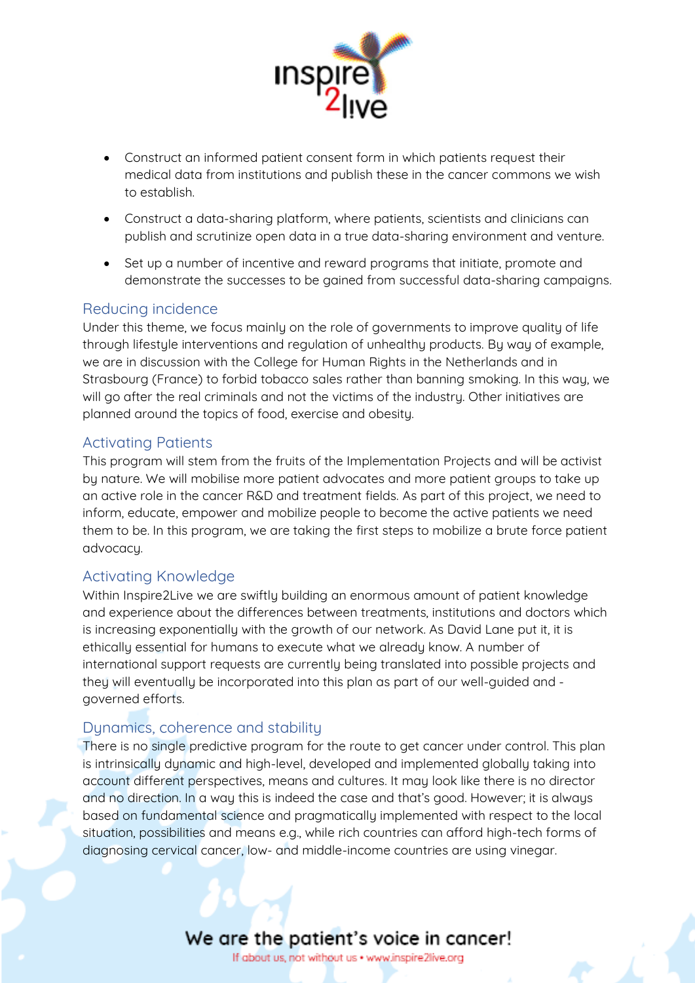

- Construct an informed patient consent form in which patients request their medical data from institutions and publish these in the cancer commons we wish to establish.
- Construct a data-sharing platform, where patients, scientists and clinicians can publish and scrutinize open data in a true data-sharing environment and venture.
- Set up a number of incentive and reward programs that initiate, promote and demonstrate the successes to be gained from successful data-sharing campaigns.

#### Reducing incidence

Under this theme, we focus mainly on the role of governments to improve quality of life through lifestyle interventions and regulation of unhealthy products. By way of example, we are in discussion with the College for Human Rights in the Netherlands and in Strasbourg (France) to forbid tobacco sales rather than banning smoking. In this way, we will go after the real criminals and not the victims of the industry. Other initiatives are planned around the topics of food, exercise and obesity.

#### Activating Patients

This program will stem from the fruits of the Implementation Projects and will be activist by nature. We will mobilise more patient advocates and more patient groups to take up an active role in the cancer R&D and treatment fields. As part of this project, we need to inform, educate, empower and mobilize people to become the active patients we need them to be. In this program, we are taking the first steps to mobilize a brute force patient advocacy.

### Activating Knowledge

Within Inspire2Live we are swiftly building an enormous amount of patient knowledge and experience about the differences between treatments, institutions and doctors which is increasing exponentially with the growth of our network. As David Lane put it, it is ethically essential for humans to execute what we already know. A number of international support requests are currently being translated into possible projects and they will eventually be incorporated into this plan as part of our well-guided and governed efforts.

### Dynamics, coherence and stability

There is no single predictive program for the route to get cancer under control. This plan is intrinsically dynamic and high-level, developed and implemented globally taking into account different perspectives, means and cultures. It may look like there is no director and no direction. In a way this is indeed the case and that's good. However; it is always based on fundamental science and pragmatically implemented with respect to the local situation, possibilities and means e.g., while rich countries can afford high-tech forms of diagnosing cervical cancer, low- and middle-income countries are using vinegar.

### We are the patient's voice in cancer!